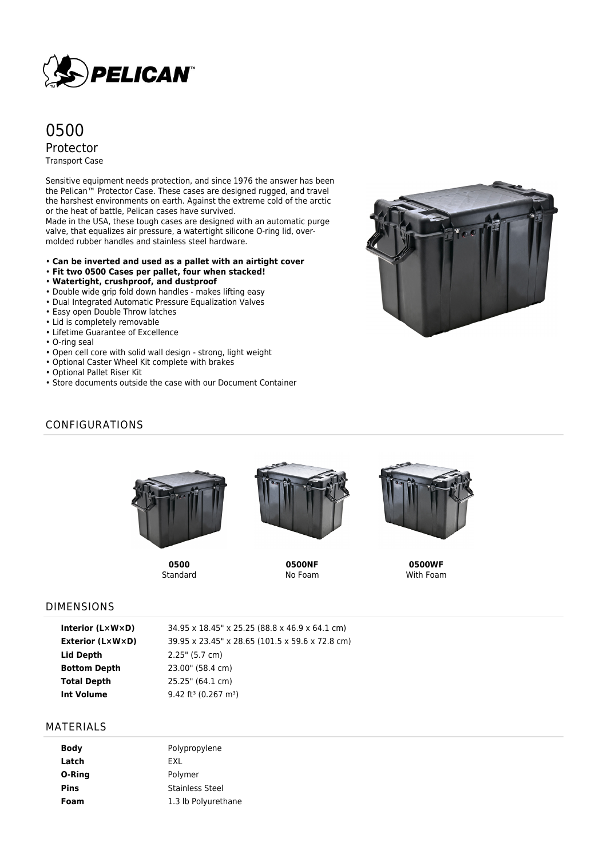

# 0500 Protector Transport Case

Sensitive equipment needs protection, and since 1976 the answer has been the Pelican™ Protector Case. These cases are designed rugged, and travel the harshest environments on earth. Against the extreme cold of the arctic or the heat of battle, Pelican cases have survived.

Made in the USA, these tough cases are designed with an automatic purge valve, that equalizes air pressure, a watertight silicone O-ring lid, overmolded rubber handles and stainless steel hardware.

- **Can be inverted and used as a pallet with an airtight cover**
- **Fit two 0500 Cases per pallet, four when stacked!**
- **Watertight, crushproof, and dustproof**
- Double wide grip fold down handles makes lifting easy
- Dual Integrated Automatic Pressure Equalization Valves
- Easy open Double Throw latches
- Lid is completely removable
- Lifetime Guarantee of Excellence
- O-ring seal
- Open cell core with solid wall design strong, light weight
- Optional Caster Wheel Kit complete with brakes
- Optional Pallet Riser Kit
- Store documents outside the case with our Document Container



## CONFIGURATIONS



**0500** Standard



**0500NF** No Foam



**0500WF** With Foam

#### DIMENSIONS

| 34.95 x 18.45" x 25.25 (88.8 x 46.9 x 64.1 cm)  |
|-------------------------------------------------|
| 39.95 x 23.45" x 28.65 (101.5 x 59.6 x 72.8 cm) |
| $2.25$ " (5.7 cm)                               |
| 23.00" (58.4 cm)                                |
| 25.25" (64.1 cm)                                |
| 9.42 ft <sup>3</sup> (0.267 m <sup>3</sup> )    |
|                                                 |

#### MATERIALS

| Polypropylene          |
|------------------------|
|                        |
| Polymer                |
| <b>Stainless Steel</b> |
| 1.3 lb Polyurethane    |
|                        |